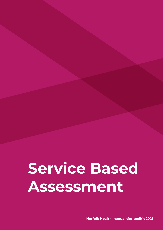# **Service Based Assessment**

**Norfolk Health inequalities toolkit 2021**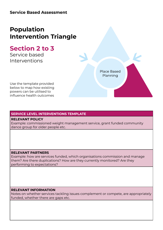# **Population Intervention Triangle**

# **Section 2 to 3**

Service based Interventions

Use the template provided below to map how existing powers can be utilised to influence health outcomes

Place Based Planning

### **SERVICE LEVEL INTERVENTIONS TEMPLATE**

#### **RELEVANT POLICY**

Example: commissioned weight management service, grant funded community dance group for older people etc.

#### **RELEVANT PARTNERS**

Example: how are services funded, which organisations commission and manage them? Are there duplications? How are they currently monitored? Are they performing to expectations?

#### **RELEVANT INFORMATION**

Notes on whether services tackling issues complement or compete, are appropriately funded, whether there are gaps etc.